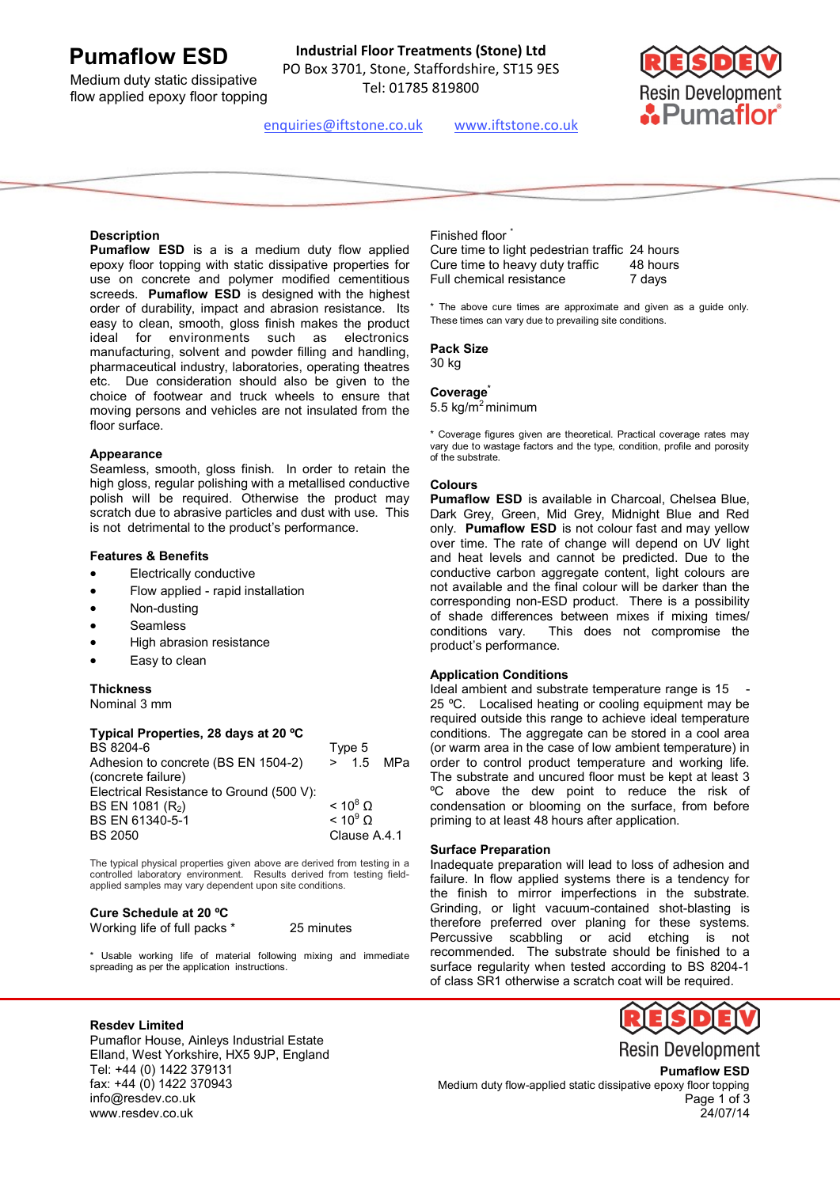# **Pumaflow ESD**

Medium duty static dissipative flow applied epoxy floor topping

**Industrial Floor Treatments (Stone) Ltd** PO Box 3701, Stone, Staffordshire, ST15 9ES

Tel: 01785 819800



enquiries@iftstone.co.uk www.iftstone.co.uk

## **Description**

**Pumaflow ESD** is a is a medium duty flow applied epoxy floor topping with static dissipative properties for use on concrete and polymer modified cementitious screeds. **Pumaflow ESD** is designed with the highest order of durability, impact and abrasion resistance. Its easy to clean, smooth, gloss finish makes the product ideal for environments such as electronics manufacturing, solvent and powder filling and handling, pharmaceutical industry, laboratories, operating theatres etc. Due consideration should also be given to the choice of footwear and truck wheels to ensure that moving persons and vehicles are not insulated from the floor surface.

#### **Appearance**

Seamless, smooth, gloss finish. In order to retain the high gloss, regular polishing with a metallised conductive polish will be required. Otherwise the product may scratch due to abrasive particles and dust with use. This is not detrimental to the product's performance.

## **Features & Benefits**

- Electrically conductive
- Flow applied rapid installation
- Non-dusting
- Seamless
- High abrasion resistance
- Easy to clean

#### **Thickness**

Nominal 3 mm

#### **Typical Properties, 28 days at 20 ºC**

| BS 8204-6                                | Type 5 |                 |             |
|------------------------------------------|--------|-----------------|-------------|
| Adhesion to concrete (BS EN 1504-2)      |        |                 | $> 1.5$ MPa |
| (concrete failure)                       |        |                 |             |
| Electrical Resistance to Ground (500 V): |        |                 |             |
| BS EN 1081 (R <sub>2</sub> )             |        | $< 10^8$ O      |             |
| BS EN 61340-5-1                          |        | $< 10^9 \Omega$ |             |
| <b>BS 2050</b>                           |        | Clause A.4.1    |             |
|                                          |        |                 |             |

The typical physical properties given above are derived from testing in a controlled laboratory environment. Results derived from testing fieldapplied samples may vary dependent upon site conditions.

# **Cure Schedule at 20 ºC**  Working life of full packs \* 25 minutes

\* Usable working life of material following mixing and immediate spreading as per the application instructions.

# Finished floor

Cure time to light pedestrian traffic 24 hours Cure time to heavy duty traffic 48 hours Full chemical resistance **7** days

\* The above cure times are approximate and given as a guide only. These times can vary due to prevailing site conditions.

# **Pack Size**

30 kg

# **Coverage\***

5.5 kg/ $m^2$ minimum

\* Coverage figures given are theoretical. Practical coverage rates may vary due to wastage factors and the type, condition, profile and porosity of the substrate.

#### **Colours**

**Pumaflow ESD** is available in Charcoal, Chelsea Blue, Dark Grey, Green, Mid Grey, Midnight Blue and Red only. **Pumaflow ESD** is not colour fast and may yellow over time. The rate of change will depend on UV light and heat levels and cannot be predicted. Due to the conductive carbon aggregate content, light colours are not available and the final colour will be darker than the corresponding non-ESD product. There is a possibility of shade differences between mixes if mixing times/ conditions vary. This does not compromise the product's performance.

#### **Application Conditions**

Ideal ambient and substrate temperature range is 15 25 ºC. Localised heating or cooling equipment may be required outside this range to achieve ideal temperature conditions. The aggregate can be stored in a cool area (or warm area in the case of low ambient temperature) in order to control product temperature and working life. The substrate and uncured floor must be kept at least 3 ºC above the dew point to reduce the risk of condensation or blooming on the surface, from before priming to at least 48 hours after application.

#### **Surface Preparation**

Inadequate preparation will lead to loss of adhesion and failure. In flow applied systems there is a tendency for the finish to mirror imperfections in the substrate. Grinding, or light vacuum-contained shot-blasting is therefore preferred over planing for these systems. Percussive scabbling or acid etching is not recommended. The substrate should be finished to a surface regularity when tested according to BS 8204-1 of class SR1 otherwise a scratch coat will be required.

## **Resdev Limited**

Pumaflor House, Ainleys Industrial Estate Elland, West Yorkshire, HX5 9JP, England Tel: +44 (0) 1422 379131 fax: +44 (0) 1422 370943 info@resdev.co.uk www.resdev.co.uk



**Pumaflow ESD**  Medium duty flow-applied static dissipative epoxy floor topping Page 1 of 3 24/07/14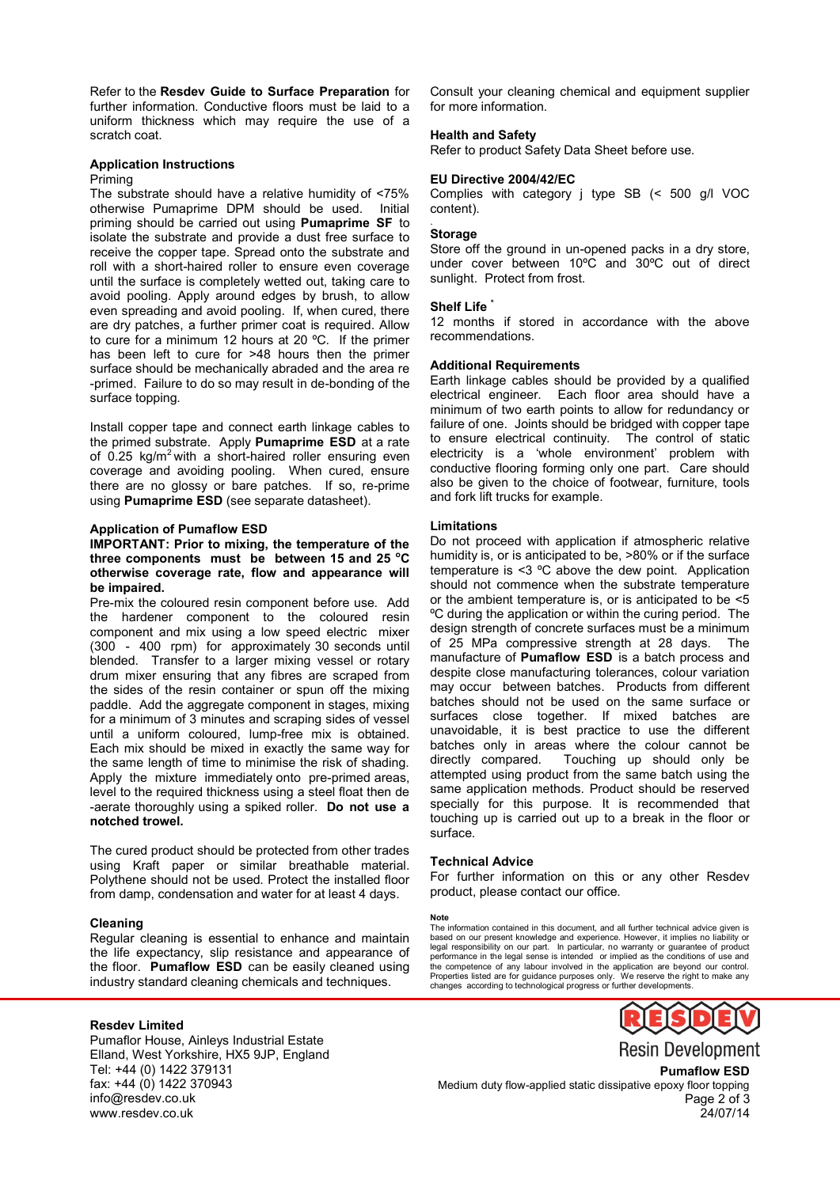Refer to the **Resdev Guide to Surface Preparation** for further information. Conductive floors must be laid to a uniform thickness which may require the use of a scratch coat.

## **Application Instructions**

#### Priming

The substrate should have a relative humidity of <75% otherwise Pumaprime DPM should be used. Initial priming should be carried out using **Pumaprime SF** to isolate the substrate and provide a dust free surface to receive the copper tape. Spread onto the substrate and roll with a short-haired roller to ensure even coverage until the surface is completely wetted out, taking care to avoid pooling. Apply around edges by brush, to allow even spreading and avoid pooling. If, when cured, there are dry patches, a further primer coat is required. Allow to cure for a minimum 12 hours at 20 ºC. If the primer has been left to cure for >48 hours then the primer surface should be mechanically abraded and the area re -primed. Failure to do so may result in de-bonding of the surface topping.

Install copper tape and connect earth linkage cables to the primed substrate. Apply **Pumaprime ESD** at a rate of 0.25 kg/m<sup>2</sup> with a short-haired roller ensuring even coverage and avoiding pooling. When cured, ensure there are no glossy or bare patches. If so, re-prime using **Pumaprime ESD** (see separate datasheet).

#### **Application of Pumaflow ESD**

#### **IMPORTANT: Prior to mixing, the temperature of the three components must be between 15 and 25 <sup>o</sup>C otherwise coverage rate, flow and appearance will be impaired.**

Pre-mix the coloured resin component before use. Add the hardener component to the coloured resin component and mix using a low speed electric mixer (300 - 400 rpm) for approximately 30 seconds until blended. Transfer to a larger mixing vessel or rotary drum mixer ensuring that any fibres are scraped from the sides of the resin container or spun off the mixing paddle. Add the aggregate component in stages, mixing for a minimum of 3 minutes and scraping sides of vessel until a uniform coloured, lump-free mix is obtained. Each mix should be mixed in exactly the same way for the same length of time to minimise the risk of shading. Apply the mixture immediately onto pre-primed areas, level to the required thickness using a steel float then de -aerate thoroughly using a spiked roller. **Do not use a notched trowel.**

The cured product should be protected from other trades using Kraft paper or similar breathable material. Polythene should not be used. Protect the installed floor from damp, condensation and water for at least 4 days.

#### **Cleaning**

Regular cleaning is essential to enhance and maintain the life expectancy, slip resistance and appearance of the floor. **Pumaflow ESD** can be easily cleaned using industry standard cleaning chemicals and techniques.

Consult your cleaning chemical and equipment supplier for more information.

#### **Health and Safety**

Refer to product Safety Data Sheet before use.

#### **EU Directive 2004/42/EC**

Complies with category j type SB (< 500 g/l VOC content).

#### **Storage**

.

Store off the ground in un-opened packs in a dry store, under cover between 10ºC and 30ºC out of direct sunlight. Protect from frost.

## **Shelf Life \***

12 months if stored in accordance with the above recommendations.

#### **Additional Requirements**

Earth linkage cables should be provided by a qualified electrical engineer. Each floor area should have a minimum of two earth points to allow for redundancy or failure of one. Joints should be bridged with copper tape to ensure electrical continuity. The control of static electricity is a 'whole environment' problem with conductive flooring forming only one part. Care should also be given to the choice of footwear, furniture, tools and fork lift trucks for example.

#### **Limitations**

Do not proceed with application if atmospheric relative humidity is, or is anticipated to be, >80% or if the surface temperature is <3 ºC above the dew point. Application should not commence when the substrate temperature or the ambient temperature is, or is anticipated to be <5 ºC during the application or within the curing period. The design strength of concrete surfaces must be a minimum of 25 MPa compressive strength at 28 days. The manufacture of **Pumaflow ESD** is a batch process and despite close manufacturing tolerances, colour variation may occur between batches. Products from different batches should not be used on the same surface or surfaces close together. If mixed batches are unavoidable, it is best practice to use the different batches only in areas where the colour cannot be directly compared. Touching up should only be attempted using product from the same batch using the same application methods. Product should be reserved specially for this purpose. It is recommended that touching up is carried out up to a break in the floor or surface.

#### **Technical Advice**

For further information on this or any other Resdev product, please contact our office.

#### **Note**

The information contained in this document, and all further technical advice given is based on our present knowledge and experience. However, it implies no liability or legal responsibility on our part. In particular, no warranty or guarantee of product performance in the legal sense is intended or implied as the conditions of use and the competence of any labour involved in the application are beyond our control. Properties listed are for guidance purposes only. We reserve the right to make any changes according to technological progress or further developments.

## **Resdev Limited**

Pumaflor House, Ainleys Industrial Estate Elland, West Yorkshire, HX5 9JP, England Tel: +44 (0) 1422 379131 fax: +44 (0) 1422 370943 info@resdev.co.uk www.resdev.co.uk



**Pumaflow ESD**

Medium duty flow-applied static dissipative epoxy floor topping Page 2 of 3 24/07/14